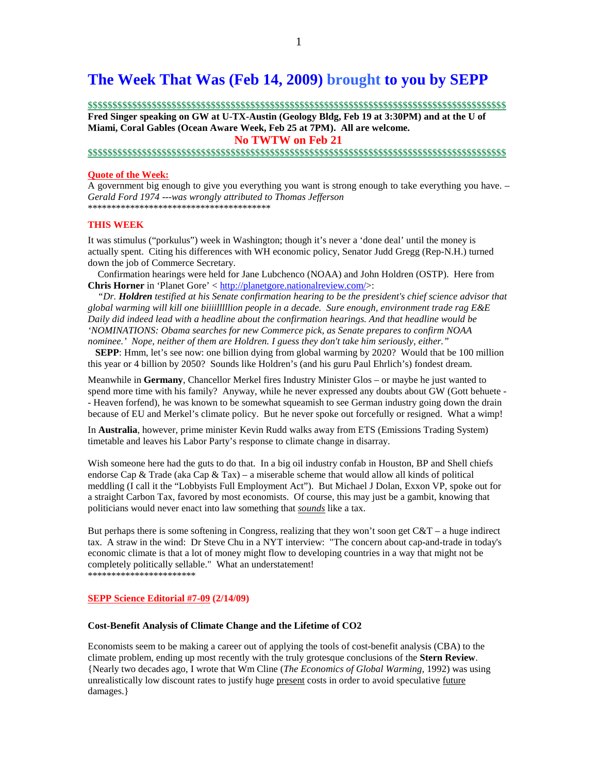# **The Week That Was (Feb 14, 2009) brought to you by SEPP**

**\$\$\$\$\$\$\$\$\$\$\$\$\$\$\$\$\$\$\$\$\$\$\$\$\$\$\$\$\$\$\$\$\$\$\$\$\$\$\$\$\$\$\$\$\$\$\$\$\$\$\$\$\$\$\$\$\$\$\$\$\$\$\$\$\$\$\$\$\$\$\$\$\$\$\$\$\$\$\$\$\$\$\$\$\$**

**Fred Singer speaking on GW at U-TX-Austin (Geology Bldg, Feb 19 at 3:30PM) and at the U of Miami, Coral Gables (Ocean Aware Week, Feb 25 at 7PM). All are welcome.** 

 **No TWTW on Feb 21** 

#### **\$\$\$\$\$\$\$\$\$\$\$\$\$\$\$\$\$\$\$\$\$\$\$\$\$\$\$\$\$\$\$\$\$\$\$\$\$\$\$\$\$\$\$\$\$\$\$\$\$\$\$\$\$\$\$\$\$\$\$\$\$\$\$\$\$\$\$\$\$\$\$\$\$\$\$\$\$\$\$\$\$\$\$\$\$**

#### **Quote of the Week:**

A government big enough to give you everything you want is strong enough to take everything you have. – *Gerald Ford 1974* --*-was wrongly attributed to Thomas Jefferson* \*\*\*\*\*\*\*\*\*\*\*\*\*\*\*\*\*\*\*\*\*\*\*\*\*\*\*\*\*\*\*\*\*\*\*\*\*\*\*

#### **THIS WEEK**

It was stimulus ("porkulus") week in Washington; though it's never a 'done deal' until the money is actually spent. Citing his differences with WH economic policy, Senator Judd Gregg (Rep-N.H.) turned down the job of Commerce Secretary.

 Confirmation hearings were held for Jane Lubchenco (NOAA) and John Holdren (OSTP). Here from **Chris Horner** in 'Planet Gore' < http://planetgore.nationalreview.com/>:

 *"Dr. Holdren testified at his Senate confirmation hearing to be the president's chief science advisor that global warming will kill one biiiilllllion people in a decade. Sure enough, environment trade rag E&E Daily did indeed lead with a headline about the confirmation hearings. And that headline would be 'NOMINATIONS: Obama searches for new Commerce pick, as Senate prepares to confirm NOAA nominee.' Nope, neither of them are Holdren. I guess they don't take him seriously, either."* 

 **SEPP**: Hmm, let's see now: one billion dying from global warming by 2020? Would that be 100 million this year or 4 billion by 2050? Sounds like Holdren's (and his guru Paul Ehrlich's) fondest dream.

Meanwhile in **Germany**, Chancellor Merkel fires Industry Minister Glos – or maybe he just wanted to spend more time with his family? Anyway, while he never expressed any doubts about GW (Gott behuete -- Heaven forfend), he was known to be somewhat squeamish to see German industry going down the drain because of EU and Merkel's climate policy. But he never spoke out forcefully or resigned. What a wimp!

In **Australia**, however, prime minister Kevin Rudd walks away from ETS (Emissions Trading System) timetable and leaves his Labor Party's response to climate change in disarray.

Wish someone here had the guts to do that. In a big oil industry confab in Houston, BP and Shell chiefs endorse Cap & Trade (aka Cap & Tax) – a miserable scheme that would allow all kinds of political meddling (I call it the "Lobbyists Full Employment Act"). But Michael J Dolan, Exxon VP, spoke out for a straight Carbon Tax, favored by most economists. Of course, this may just be a gambit, knowing that politicians would never enact into law something that *sounds* like a tax.

But perhaps there is some softening in Congress, realizing that they won't soon get  $C&T - a$  huge indirect tax. A straw in the wind: Dr Steve Chu in a NYT interview: "The concern about cap-and-trade in today's economic climate is that a lot of money might flow to developing countries in a way that might not be completely politically sellable." What an understatement! \*\*\*\*\*\*\*\*\*\*\*\*\*\*\*\*\*\*\*\*\*\*\*

#### **SEPP Science Editorial #7-09 (2/14/09)**

#### **Cost-Benefit Analysis of Climate Change and the Lifetime of CO2**

Economists seem to be making a career out of applying the tools of cost-benefit analysis (CBA) to the climate problem, ending up most recently with the truly grotesque conclusions of the **Stern Review**. {Nearly two decades ago, I wrote that Wm Cline (*The Economics of Global Warming,* 1992) was using unrealistically low discount rates to justify huge present costs in order to avoid speculative future damages.}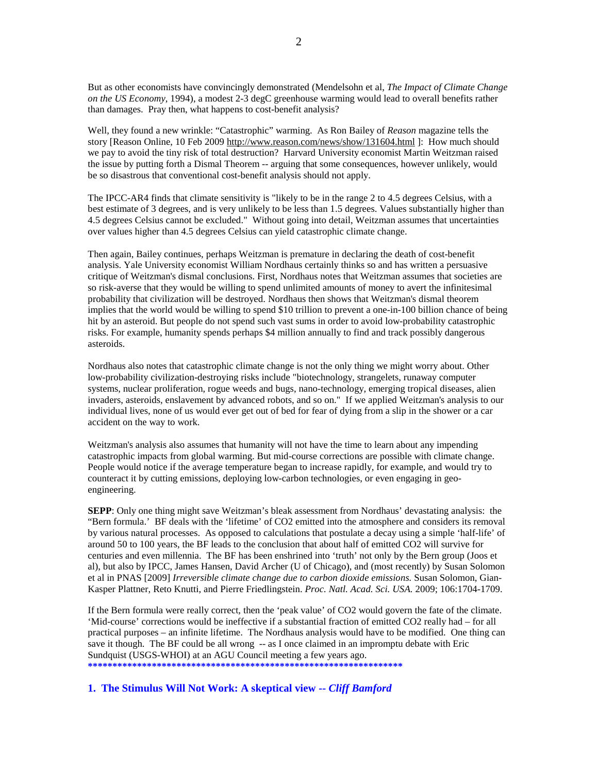But as other economists have convincingly demonstrated (Mendelsohn et al, *The Impact of Climate Change on the US Economy*, 1994), a modest 2-3 degC greenhouse warming would lead to overall benefits rather than damages. Pray then, what happens to cost-benefit analysis?

Well, they found a new wrinkle: "Catastrophic" warming. As Ron Bailey of *Reason* magazine tells the story [Reason Online, 10 Feb 2009 http://www.reason.com/news/show/131604.html ]: How much should we pay to avoid the tiny risk of total destruction? Harvard University economist Martin Weitzman raised the issue by putting forth a Dismal Theorem -- arguing that some consequences, however unlikely, would be so disastrous that conventional cost-benefit analysis should not apply.

The IPCC-AR4 finds that climate sensitivity is "likely to be in the range 2 to 4.5 degrees Celsius, with a best estimate of 3 degrees, and is very unlikely to be less than 1.5 degrees. Values substantially higher than 4.5 degrees Celsius cannot be excluded." Without going into detail, Weitzman assumes that uncertainties over values higher than 4.5 degrees Celsius can yield catastrophic climate change.

Then again, Bailey continues, perhaps Weitzman is premature in declaring the death of cost-benefit analysis. Yale University economist William Nordhaus certainly thinks so and has written a persuasive critique of Weitzman's dismal conclusions. First, Nordhaus notes that Weitzman assumes that societies are so risk-averse that they would be willing to spend unlimited amounts of money to avert the infinitesimal probability that civilization will be destroyed. Nordhaus then shows that Weitzman's dismal theorem implies that the world would be willing to spend \$10 trillion to prevent a one-in-100 billion chance of being hit by an asteroid. But people do not spend such vast sums in order to avoid low-probability catastrophic risks. For example, humanity spends perhaps \$4 million annually to find and track possibly dangerous asteroids.

Nordhaus also notes that catastrophic climate change is not the only thing we might worry about. Other low-probability civilization-destroying risks include "biotechnology, strangelets, runaway computer systems, nuclear proliferation, rogue weeds and bugs, nano-technology, emerging tropical diseases, alien invaders, asteroids, enslavement by advanced robots, and so on." If we applied Weitzman's analysis to our individual lives, none of us would ever get out of bed for fear of dying from a slip in the shower or a car accident on the way to work.

Weitzman's analysis also assumes that humanity will not have the time to learn about any impending catastrophic impacts from global warming. But mid-course corrections are possible with climate change. People would notice if the average temperature began to increase rapidly, for example, and would try to counteract it by cutting emissions, deploying low-carbon technologies, or even engaging in geoengineering.

**SEPP**: Only one thing might save Weitzman's bleak assessment from Nordhaus' devastating analysis: the "Bern formula.' BF deals with the 'lifetime' of CO2 emitted into the atmosphere and considers its removal by various natural processes. As opposed to calculations that postulate a decay using a simple 'half-life' of around 50 to 100 years, the BF leads to the conclusion that about half of emitted CO2 will survive for centuries and even millennia. The BF has been enshrined into 'truth' not only by the Bern group (Joos et al), but also by IPCC, James Hansen, David Archer (U of Chicago), and (most recently) by Susan Solomon et al in PNAS [2009] *Irreversible climate change due to carbon dioxide emissions.* Susan Solomon, Gian-Kasper Plattner, Reto Knutti, and Pierre Friedlingstein. *Proc. Natl. Acad. Sci. USA.* 2009; 106:1704-1709.

If the Bern formula were really correct, then the 'peak value' of CO2 would govern the fate of the climate. 'Mid-course' corrections would be ineffective if a substantial fraction of emitted CO2 really had – for all practical purposes – an infinite lifetime. The Nordhaus analysis would have to be modified. One thing can save it though. The BF could be all wrong -- as I once claimed in an impromptu debate with Eric Sundquist (USGS-WHOI) at an AGU Council meeting a few years ago. **\*\*\*\*\*\*\*\*\*\*\*\*\*\*\*\*\*\*\*\*\*\*\*\*\*\*\*\*\*\*\*\*\*\*\*\*\*\*\*\*\*\*\*\*\*\*\*\*\*\*\*\*\*\*\*\*\*\*\*\*\*\*\*\*** 

**1. The Stimulus Will Not Work: A skeptical view --** *Cliff Bamford*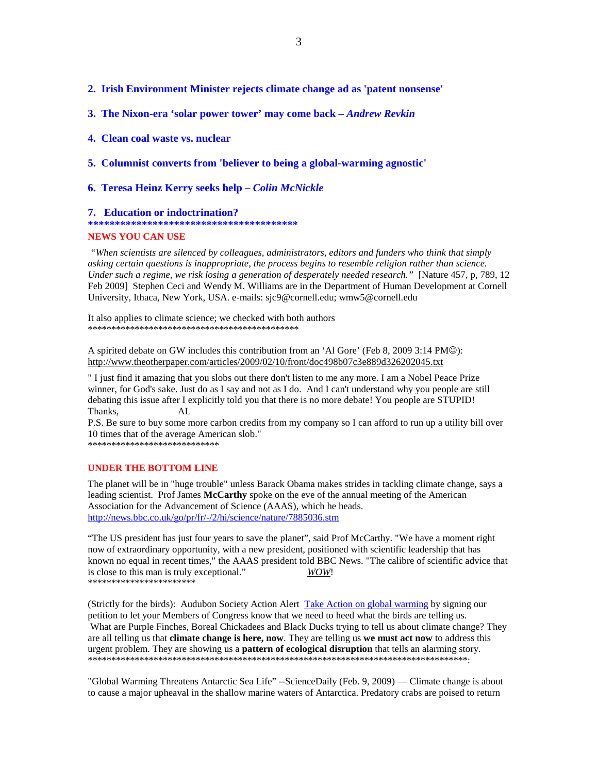#### **2. Irish Environment Minister rejects climate change ad as 'patent nonsense'**

**3. The Nixon-era 'solar power tower' may come back –** *Andrew Revkin*

#### **4. Clean coal waste vs. nuclear**

**5. Columnist converts from 'believer to being a global-warming agnostic'** 

#### **6. Teresa Heinz Kerry seeks help –** *Colin McNickle*

#### **7. Education or indoctrination?**

**\*\*\*\*\*\*\*\*\*\*\*\*\*\*\*\*\*\*\*\*\*\*\*\*\*\*\*\*\*\*\*\*\*\*\*\*\*\*\*** 

#### **NEWS YOU CAN USE**

 *"When scientists are silenced by colleagues, administrators, editors and funders who think that simply asking certain questions is inappropriate, the process begins to resemble religion rather than science. Under such a regime, we risk losing a generation of desperately needed research."* [Nature 457, p, 789, 12 Feb 2009] Stephen Ceci and Wendy M. Williams are in the Department of Human Development at Cornell University, Ithaca, New York, USA. e-mails: sjc9@cornell.edu; wmw5@cornell.edu

It also applies to climate science; we checked with both authors \*\*\*\*\*\*\*\*\*\*\*\*\*\*\*\*\*\*\*\*\*\*\*\*\*\*\*\*\*\*\*\*\*\*\*\*\*\*\*\*\*\*\*\*\*

A spirited debate on GW includes this contribution from an 'Al Gore' (Feb 8, 2009 3:14 PM☺): http://www.theotherpaper.com/articles/2009/02/10/front/doc498b07c3e889d326202045.txt

" I just find it amazing that you slobs out there don't listen to me any more. I am a Nobel Peace Prize winner, for God's sake. Just do as I say and not as I do. And I can't understand why you people are still debating this issue after I explicitly told you that there is no more debate! You people are STUPID! Thanks, AL

P.S. Be sure to buy some more carbon credits from my company so I can afford to run up a utility bill over 10 times that of the average American slob."

\*\*\*\*\*\*\*\*\*\*\*\*\*\*\*\*\*\*\*\*\*\*\*\*\*\*\*\*

#### **UNDER THE BOTTOM LINE**

The planet will be in "huge trouble" unless Barack Obama makes strides in tackling climate change, says a leading scientist. Prof James **McCarthy** spoke on the eve of the annual meeting of the American Association for the Advancement of Science (AAAS), which he heads. http://news.bbc.co.uk/go/pr/fr/-/2/hi/science/nature/7885036.stm

"The US president has just four years to save the planet", said Prof McCarthy. "We have a moment right now of extraordinary opportunity, with a new president, positioned with scientific leadership that has known no equal in recent times," the AAAS president told BBC News. "The calibre of scientific advice that is close to this man is truly exceptional." *WOW*! \*\*\*\*\*\*\*\*\*\*\*\*\*\*\*\*\*\*\*\*\*\*\*

(Strictly for the birds): Audubon Society Action Alert Take Action on global warming by signing our petition to let your Members of Congress know that we need to heed what the birds are telling us. What are Purple Finches, Boreal Chickadees and Black Ducks trying to tell us about climate change? They are all telling us that **climate change is here, now**. They are telling us **we must act now** to address this urgent problem. They are showing us a **pattern of ecological disruption** that tells an alarming story. \*\*\*\*\*\*\*\*\*\*\*\*\*\*\*\*\*\*\*\*\*\*\*\*\*\*\*\*\*\*\*\*\*\*\*\*\*\*\*\*\*\*\*\*\*\*\*\*\*\*\*\*\*\*\*\*\*\*\*\*\*\*\*\*\*\*\*\*\*\*\*\*\*\*\*\*\*\*\*\*\*:

"Global Warming Threatens Antarctic Sea Life" --ScienceDaily (Feb. 9, 2009) — Climate change is about to cause a major upheaval in the shallow marine waters of Antarctica. Predatory crabs are poised to return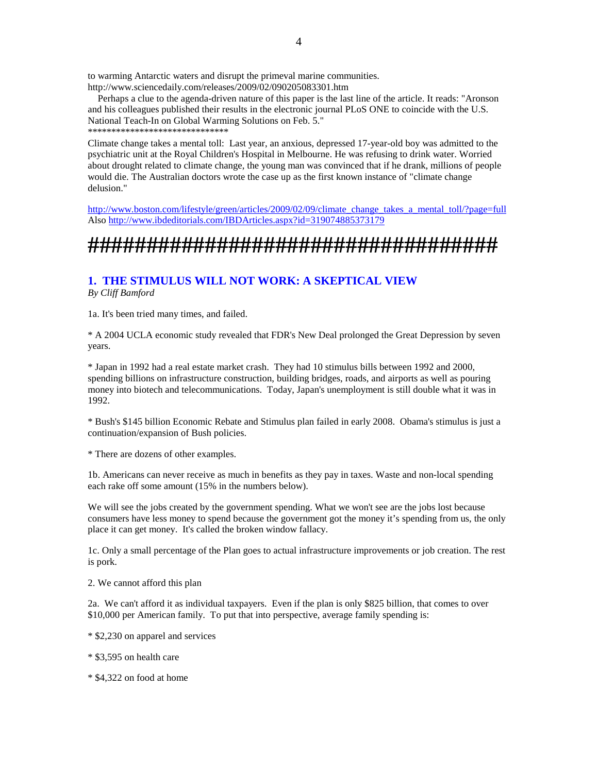to warming Antarctic waters and disrupt the primeval marine communities. http://www.sciencedaily.com/releases/2009/02/090205083301.htm

 Perhaps a clue to the agenda-driven nature of this paper is the last line of the article. It reads: "Aronson and his colleagues published their results in the electronic journal PLoS ONE to coincide with the U.S. National Teach-In on Global Warming Solutions on Feb. 5." \*\*\*\*\*\*\*\*\*\*\*\*\*\*\*\*\*\*\*\*\*\*\*\*\*\*\*\*\*\*

Climate change takes a mental toll: Last year, an anxious, depressed 17-year-old boy was admitted to the psychiatric unit at the Royal Children's Hospital in Melbourne. He was refusing to drink water. Worried about drought related to climate change, the young man was convinced that if he drank, millions of people would die. The Australian doctors wrote the case up as the first known instance of "climate change delusion."

http://www.boston.com/lifestyle/green/articles/2009/02/09/climate\_change\_takes\_a\_mental\_toll/?page=full Also http://www.ibdeditorials.com/IBDArticles.aspx?id=319074885373179

# **###################################**

#### **1. THE STIMULUS WILL NOT WORK: A SKEPTICAL VIEW** *By Cliff Bamford*

1a. It's been tried many times, and failed.

\* A 2004 UCLA economic study revealed that FDR's New Deal prolonged the Great Depression by seven years.

\* Japan in 1992 had a real estate market crash. They had 10 stimulus bills between 1992 and 2000, spending billions on infrastructure construction, building bridges, roads, and airports as well as pouring money into biotech and telecommunications. Today, Japan's unemployment is still double what it was in 1992.

\* Bush's \$145 billion Economic Rebate and Stimulus plan failed in early 2008. Obama's stimulus is just a continuation/expansion of Bush policies.

\* There are dozens of other examples.

1b. Americans can never receive as much in benefits as they pay in taxes. Waste and non-local spending each rake off some amount (15% in the numbers below).

We will see the jobs created by the government spending. What we won't see are the jobs lost because consumers have less money to spend because the government got the money it's spending from us, the only place it can get money. It's called the broken window fallacy.

1c. Only a small percentage of the Plan goes to actual infrastructure improvements or job creation. The rest is pork.

2. We cannot afford this plan

2a. We can't afford it as individual taxpayers. Even if the plan is only \$825 billion, that comes to over \$10,000 per American family. To put that into perspective, average family spending is:

\* \$2,230 on apparel and services

\* \$3,595 on health care

\* \$4,322 on food at home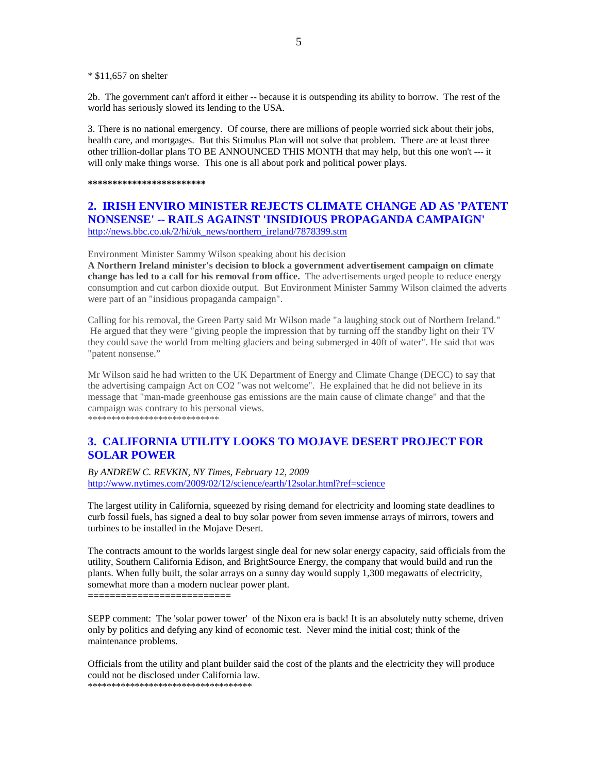\* \$11,657 on shelter

2b. The government can't afford it either -- because it is outspending its ability to borrow. The rest of the world has seriously slowed its lending to the USA.

3. There is no national emergency. Of course, there are millions of people worried sick about their jobs, health care, and mortgages. But this Stimulus Plan will not solve that problem. There are at least three other trillion-dollar plans TO BE ANNOUNCED THIS MONTH that may help, but this one won't --- it will only make things worse. This one is all about pork and political power plays.

**\*\*\*\*\*\*\*\*\*\*\*\*\*\*\*\*\*\*\*\*\*\*\*\*** 

#### **2. IRISH ENVIRO MINISTER REJECTS CLIMATE CHANGE AD AS 'PATENT NONSENSE' -- RAILS AGAINST 'INSIDIOUS PROPAGANDA CAMPAIGN'**  http://news.bbc.co.uk/2/hi/uk\_news/northern\_ireland/7878399.stm

Environment Minister Sammy Wilson speaking about his decision

**A Northern Ireland minister's decision to block a government advertisement campaign on climate change has led to a call for his removal from office.** The advertisements urged people to reduce energy consumption and cut carbon dioxide output. But Environment Minister Sammy Wilson claimed the adverts were part of an "insidious propaganda campaign".

Calling for his removal, the Green Party said Mr Wilson made "a laughing stock out of Northern Ireland." He argued that they were "giving people the impression that by turning off the standby light on their TV they could save the world from melting glaciers and being submerged in 40ft of water". He said that was "patent nonsense."

Mr Wilson said he had written to the UK Department of Energy and Climate Change (DECC) to say that the advertising campaign Act on CO2 "was not welcome". He explained that he did not believe in its message that "man-made greenhouse gas emissions are the main cause of climate change" and that the campaign was contrary to his personal views. \*\*\*\*\*\*\*\*\*\*\*\*\*\*\*\*\*\*\*\*\*\*\*\*\*\*\*\*

## **3. CALIFORNIA UTILITY LOOKS TO MOJAVE DESERT PROJECT FOR SOLAR POWER**

*By ANDREW C. REVKIN, NY Times, February 12, 2009*  http://www.nytimes.com/2009/02/12/science/earth/12solar.html?ref=science

The largest utility in California, squeezed by rising demand for electricity and looming state deadlines to curb fossil fuels, has signed a deal to buy solar power from seven immense arrays of mirrors, towers and turbines to be installed in the Mojave Desert.

The contracts amount to the worlds largest single deal for new solar energy capacity, said officials from the utility, Southern California Edison, and BrightSource Energy, the company that would build and run the plants. When fully built, the solar arrays on a sunny day would supply 1,300 megawatts of electricity, somewhat more than a modern nuclear power plant.

==========================

SEPP comment: The 'solar power tower' of the Nixon era is back! It is an absolutely nutty scheme, driven only by politics and defying any kind of economic test. Never mind the initial cost; think of the maintenance problems.

Officials from the utility and plant builder said the cost of the plants and the electricity they will produce could not be disclosed under California law. \*\*\*\*\*\*\*\*\*\*\*\*\*\*\*\*\*\*\*\*\*\*\*\*\*\*\*\*\*\*\*\*\*\*\*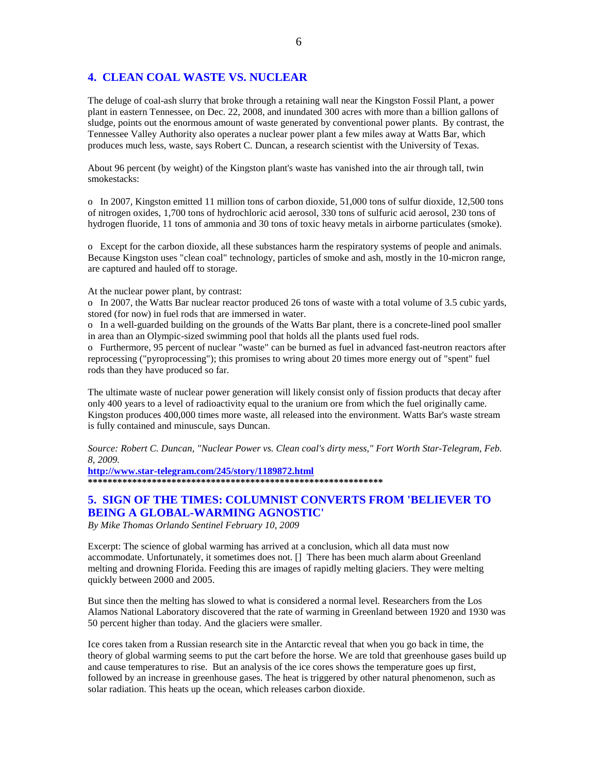#### **4. CLEAN COAL WASTE VS. NUCLEAR**

The deluge of coal-ash slurry that broke through a retaining wall near the Kingston Fossil Plant, a power plant in eastern Tennessee, on Dec. 22, 2008, and inundated 300 acres with more than a billion gallons of sludge, points out the enormous amount of waste generated by conventional power plants. By contrast, the Tennessee Valley Authority also operates a nuclear power plant a few miles away at Watts Bar, which produces much less, waste, says Robert C. Duncan, a research scientist with the University of Texas.

About 96 percent (by weight) of the Kingston plant's waste has vanished into the air through tall, twin smokestacks:

o In 2007, Kingston emitted 11 million tons of carbon dioxide, 51,000 tons of sulfur dioxide, 12,500 tons of nitrogen oxides, 1,700 tons of hydrochloric acid aerosol, 330 tons of sulfuric acid aerosol, 230 tons of hydrogen fluoride, 11 tons of ammonia and 30 tons of toxic heavy metals in airborne particulates (smoke).

o Except for the carbon dioxide, all these substances harm the respiratory systems of people and animals. Because Kingston uses "clean coal" technology, particles of smoke and ash, mostly in the 10-micron range, are captured and hauled off to storage.

At the nuclear power plant, by contrast:

o In 2007, the Watts Bar nuclear reactor produced 26 tons of waste with a total volume of 3.5 cubic yards, stored (for now) in fuel rods that are immersed in water.

o In a well-guarded building on the grounds of the Watts Bar plant, there is a concrete-lined pool smaller in area than an Olympic-sized swimming pool that holds all the plants used fuel rods.

o Furthermore, 95 percent of nuclear "waste" can be burned as fuel in advanced fast-neutron reactors after reprocessing ("pyroprocessing"); this promises to wring about 20 times more energy out of "spent" fuel rods than they have produced so far.

The ultimate waste of nuclear power generation will likely consist only of fission products that decay after only 400 years to a level of radioactivity equal to the uranium ore from which the fuel originally came. Kingston produces 400,000 times more waste, all released into the environment. Watts Bar's waste stream is fully contained and minuscule, says Duncan.

*Source: Robert C. Duncan, "Nuclear Power vs. Clean coal's dirty mess," Fort Worth Star-Telegram, Feb. 8, 2009.* 

**http://www.star-telegram.com/245/story/1189872.html \*\*\*\*\*\*\*\*\*\*\*\*\*\*\*\*\*\*\*\*\*\*\*\*\*\*\*\*\*\*\*\*\*\*\*\*\*\*\*\*\*\*\*\*\*\*\*\*\*\*\*\*\*\*\*\*\*\*\*\*** 

### **5. SIGN OF THE TIMES: COLUMNIST CONVERTS FROM 'BELIEVER TO BEING A GLOBAL-WARMING AGNOSTIC'**

*By Mike Thomas Orlando Sentinel February 10, 2009* 

Excerpt: The science of global warming has arrived at a conclusion, which all data must now accommodate. Unfortunately, it sometimes does not. [] There has been much alarm about Greenland melting and drowning Florida. Feeding this are images of rapidly melting glaciers. They were melting quickly between 2000 and 2005.

But since then the melting has slowed to what is considered a normal level. Researchers from the Los Alamos National Laboratory discovered that the rate of warming in Greenland between 1920 and 1930 was 50 percent higher than today. And the glaciers were smaller.

Ice cores taken from a Russian research site in the Antarctic reveal that when you go back in time, the theory of global warming seems to put the cart before the horse. We are told that greenhouse gases build up and cause temperatures to rise. But an analysis of the ice cores shows the temperature goes up first, followed by an increase in greenhouse gases. The heat is triggered by other natural phenomenon, such as solar radiation. This heats up the ocean, which releases carbon dioxide.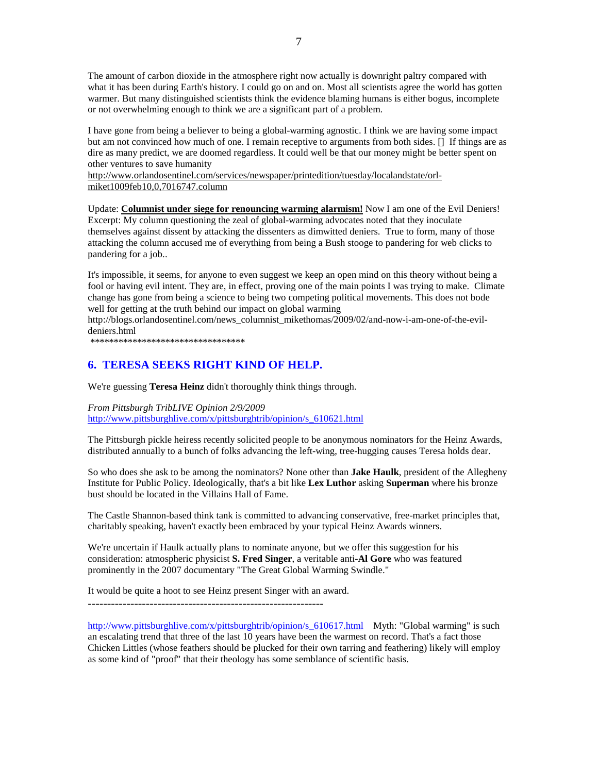The amount of carbon dioxide in the atmosphere right now actually is downright paltry compared with what it has been during Earth's history. I could go on and on. Most all scientists agree the world has gotten warmer. But many distinguished scientists think the evidence blaming humans is either bogus, incomplete or not overwhelming enough to think we are a significant part of a problem.

I have gone from being a believer to being a global-warming agnostic. I think we are having some impact but am not convinced how much of one. I remain receptive to arguments from both sides. [] If things are as dire as many predict, we are doomed regardless. It could well be that our money might be better spent on other ventures to save humanity

http://www.orlandosentinel.com/services/newspaper/printedition/tuesday/localandstate/orlmiket1009feb10,0,7016747.column

Update: **Columnist under siege for renouncing warming alarmism!** Now I am one of the Evil Deniers! Excerpt: My column questioning the zeal of global-warming advocates noted that they inoculate themselves against dissent by attacking the dissenters as dimwitted deniers. True to form, many of those attacking the column accused me of everything from being a Bush stooge to pandering for web clicks to pandering for a job..

It's impossible, it seems, for anyone to even suggest we keep an open mind on this theory without being a fool or having evil intent. They are, in effect, proving one of the main points I was trying to make. Climate change has gone from being a science to being two competing political movements. This does not bode well for getting at the truth behind our impact on global warming

http://blogs.orlandosentinel.com/news\_columnist\_mikethomas/2009/02/and-now-i-am-one-of-the-evildeniers.html

\*\*\*\*\*\*\*\*\*\*\*\*\*\*\*\*\*\*\*\*\*\*\*\*\*\*\*\*\*\*\*\*\*

### **6. TERESA SEEKS RIGHT KIND OF HELP.**

We're guessing **Teresa Heinz** didn't thoroughly think things through.

*From Pittsburgh TribLIVE Opinion 2/9/2009*  http://www.pittsburghlive.com/x/pittsburghtrib/opinion/s\_610621.html

The Pittsburgh pickle heiress recently solicited people to be anonymous nominators for the Heinz Awards, distributed annually to a bunch of folks advancing the left-wing, tree-hugging causes Teresa holds dear.

So who does she ask to be among the nominators? None other than **Jake Haulk**, president of the Allegheny Institute for Public Policy. Ideologically, that's a bit like **Lex Luthor** asking **Superman** where his bronze bust should be located in the Villains Hall of Fame.

The Castle Shannon-based think tank is committed to advancing conservative, free-market principles that, charitably speaking, haven't exactly been embraced by your typical Heinz Awards winners.

We're uncertain if Haulk actually plans to nominate anyone, but we offer this suggestion for his consideration: atmospheric physicist **S. Fred Singer**, a veritable anti-**Al Gore** who was featured prominently in the 2007 documentary "The Great Global Warming Swindle."

It would be quite a hoot to see Heinz present Singer with an award.

-------------------------------------------------------------

http://www.pittsburghlive.com/x/pittsburghtrib/opinion/s\_610617.html Myth: "Global warming" is such an escalating trend that three of the last 10 years have been the warmest on record. That's a fact those Chicken Littles (whose feathers should be plucked for their own tarring and feathering) likely will employ as some kind of "proof" that their theology has some semblance of scientific basis.